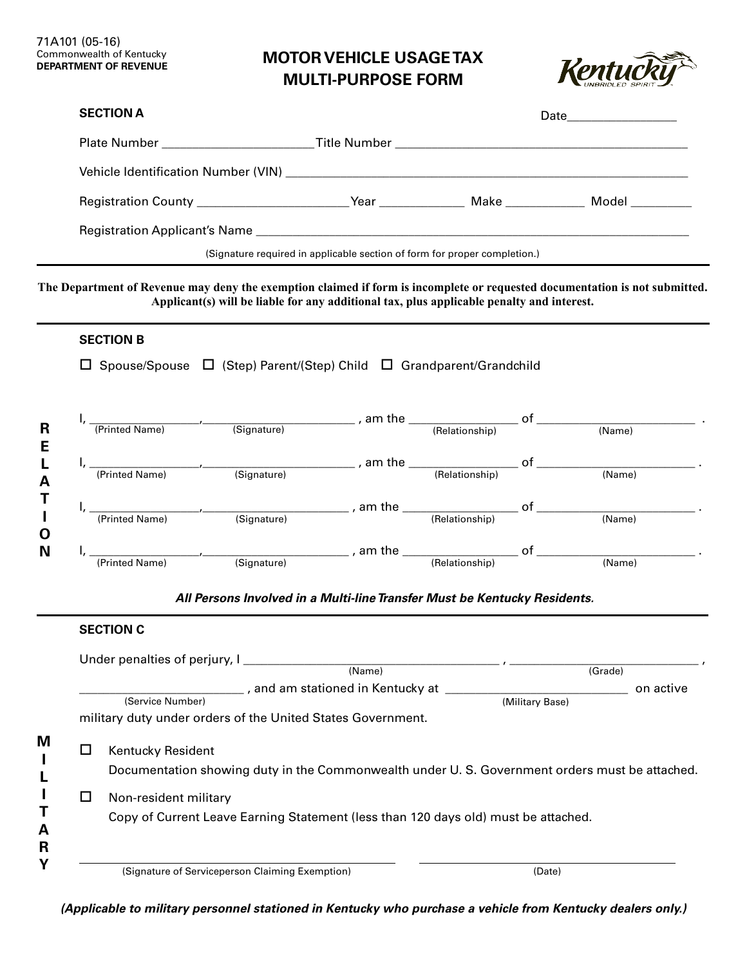# **MOTOR VEHICLE USAGE TAX MULTI-PURPOSE FORM**



# **SECTION A** Plate Number \_\_\_\_\_\_\_\_\_\_\_\_\_\_\_\_\_\_\_\_\_\_\_\_\_ Title Number \_\_\_\_\_\_\_\_\_\_\_\_\_\_\_\_\_\_\_\_\_\_\_\_\_\_\_\_\_\_\_\_\_\_\_\_\_\_\_\_\_\_\_\_\_\_\_\_ Vehicle Identification Number (VIN) \_\_\_\_\_\_\_\_\_\_\_\_\_\_\_\_\_\_\_\_\_\_\_\_\_\_\_\_\_\_\_\_\_\_\_\_\_\_\_\_\_\_\_\_\_\_\_\_\_\_\_\_\_\_\_\_\_\_\_\_\_\_\_\_\_\_ Registration County \_\_\_\_\_\_\_\_\_\_\_\_\_\_\_\_\_\_\_\_\_\_\_\_\_ Year \_\_\_\_\_\_\_\_\_\_\_\_\_\_ Make \_\_\_\_\_\_\_\_\_\_\_\_\_ Model \_\_\_\_\_\_\_\_\_\_ Registration Applicant's Name \_\_\_\_\_\_\_\_\_\_\_\_\_\_\_\_\_\_\_\_\_\_\_\_\_\_\_\_\_\_\_\_\_\_\_\_\_\_\_\_\_\_\_\_\_\_\_\_\_\_\_\_\_\_\_\_\_\_\_\_\_\_\_\_\_\_\_\_\_\_\_ Date **Date** (Signature required in applicable section of form for proper completion.)

#### **The Department of Revenue may deny the exemption claimed if form is incomplete or requested documentation is not submitted. Applicant(s) will be liable for any additional tax, plus applicable penalty and interest.**

## **SECTION B**

 $\Box$  Spouse/Spouse  $\Box$  (Step) Parent/(Step) Child  $\Box$  Grandparent/Grandchild

| R                | (Printed Name) | (Signature) | am the   | οf<br>(Relationship) | (Name) |  |
|------------------|----------------|-------------|----------|----------------------|--------|--|
| Е<br>A           | (Printed Name) | (Signature) | am the   | οf<br>(Relationship) | (Name) |  |
|                  | (Printed Name) | (Signature) | am the   | Ωt<br>(Relationship) | (Name) |  |
| $\mathbf 0$<br>N | (Printed Name) | (Signature) | , am the | οf<br>(Relationship) | (Name) |  |

#### *All Persons Involved in a Multi-line Transfer Must be Kentucky Residents.*

|                  | Under penalties of perjury, I                                                                 | (Name)                                                      |                 | (Grade)   |  |  |
|------------------|-----------------------------------------------------------------------------------------------|-------------------------------------------------------------|-----------------|-----------|--|--|
|                  |                                                                                               | $\_$ , and am stationed in Kentucky at $\_\_$               |                 | on active |  |  |
| (Service Number) |                                                                                               |                                                             | (Military Base) |           |  |  |
|                  |                                                                                               | military duty under orders of the United States Government. |                 |           |  |  |
|                  |                                                                                               |                                                             |                 |           |  |  |
|                  | Kentucky Resident                                                                             |                                                             |                 |           |  |  |
|                  | Documentation showing duty in the Commonwealth under U.S. Government orders must be attached. |                                                             |                 |           |  |  |
|                  | Non-resident military                                                                         |                                                             |                 |           |  |  |
|                  | Copy of Current Leave Earning Statement (less than 120 days old) must be attached.            |                                                             |                 |           |  |  |
|                  |                                                                                               |                                                             |                 |           |  |  |

*(Applicable to military personnel stationed in Kentucky who purchase a vehicle from Kentucky dealers only.)*